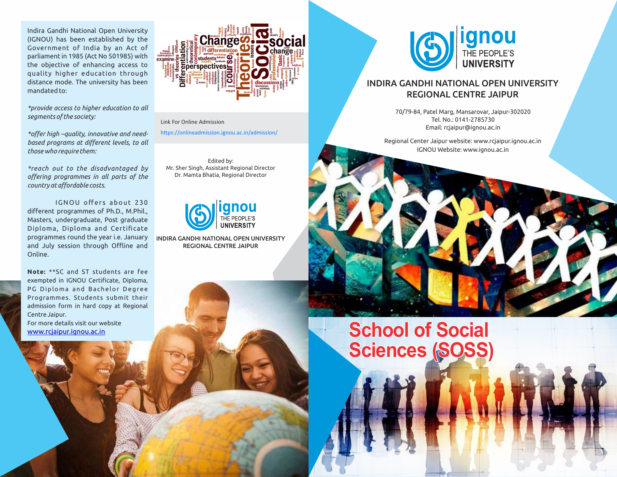Indira Gandhi National Open University (IGNOU) has been established by the Government of India by an Act of parliament in 1985 (Act No 501985) with the objective of enhancing access to quality higher education through distance mode. The university has been mandated to:

*\*provide access to higher education to all segments of the society:*

*\*offer high –quality, innovative and needbased programs at different levels, to all those who require them:*

*\*reach out to the disadvantaged by offering programmes in all parts of the country at affordable costs.*

IGNOU offers about 230 different programmes of Ph.D., M.Phil., Masters, undergraduate, Post graduate Diploma, Diploma and Certificate programmes round the year i.e. January and July session through Offline and Online.

**Note:** \*\*SC and ST students are fee exempted in IGNOU Certificate, Diploma, PG Diploma and Bachelor Degree Programmes. Students submit their admission form in hard copy at Regional Centre Jaipur. For more details visit our website

www.rcjaipur.ignou.ac.in



Link For Online Admission

https://onlineadmission.ignou.ac.in/admission/

Edited by: Mr. Sher Singh, Assistant Regional Director Dr. Mamta Bhatia, Regional Director



INDIRA GANDHI NATIONAL OPEN UNIVERSITY REGIONAL CENTRE JAIPUR



## INDIRA GANDHI NATIONAL OPEN UNIVERSITY REGIONAL CENTRE JAIPUR

70/79-84, Patel Marg, Mansarovar, Jaipur-302020 Tel. No.: 0141-2785730 Email: rcjaipur@ignou.ac.in

Regional Center Jaipur website: www.rcjaipur.ignou.ac.in IGNOU Website: www.ignou.ac.in

## **School of Social Sciences (SOSS)**